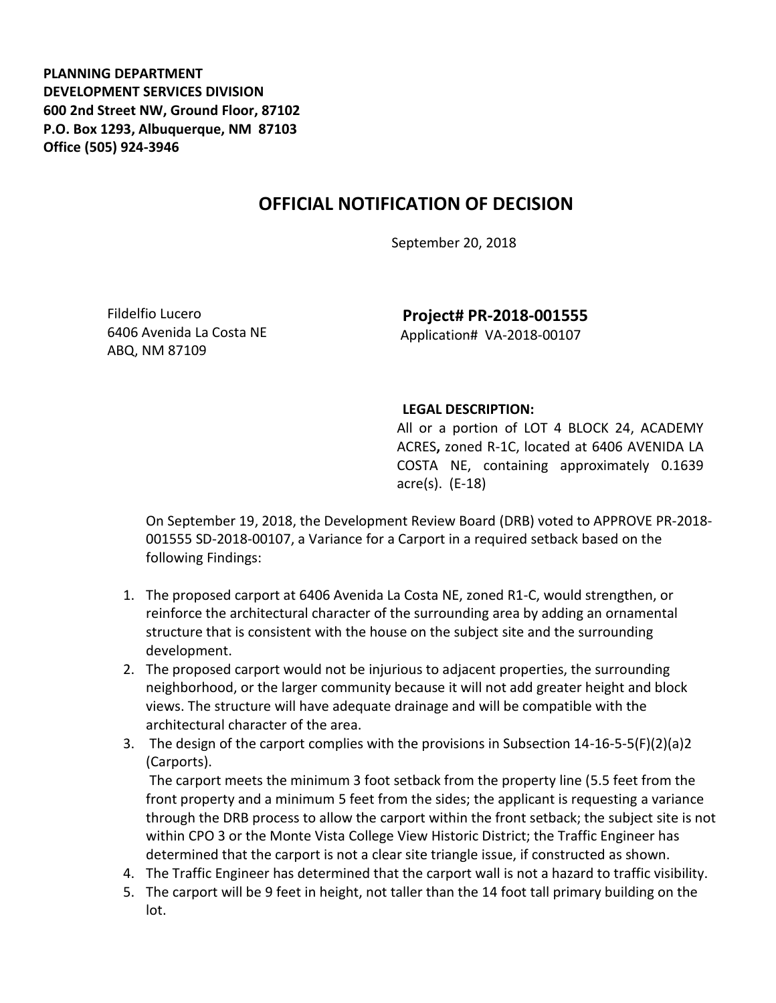**PLANNING DEPARTMENT DEVELOPMENT SERVICES DIVISION 600 2nd Street NW, Ground Floor, 87102 P.O. Box 1293, Albuquerque, NM 87103 Office (505) 924-3946** 

## **OFFICIAL NOTIFICATION OF DECISION**

September 20, 2018

Fildelfio Lucero 6406 Avenida La Costa NE ABQ, NM 87109

**Project# PR-2018-001555** Application# VA-2018-00107

## **LEGAL DESCRIPTION:**

All or a portion of LOT 4 BLOCK 24, ACADEMY ACRES**,** zoned R-1C, located at 6406 AVENIDA LA COSTA NE, containing approximately 0.1639 acre(s). (E-18)

On September 19, 2018, the Development Review Board (DRB) voted to APPROVE PR-2018- 001555 SD-2018-00107, a Variance for a Carport in a required setback based on the following Findings:

- 1. The proposed carport at 6406 Avenida La Costa NE, zoned R1-C, would strengthen, or reinforce the architectural character of the surrounding area by adding an ornamental structure that is consistent with the house on the subject site and the surrounding development.
- 2. The proposed carport would not be injurious to adjacent properties, the surrounding neighborhood, or the larger community because it will not add greater height and block views. The structure will have adequate drainage and will be compatible with the architectural character of the area.
- 3. The design of the carport complies with the provisions in Subsection 14-16-5-5(F)(2)(a)2 (Carports).

The carport meets the minimum 3 foot setback from the property line (5.5 feet from the front property and a minimum 5 feet from the sides; the applicant is requesting a variance through the DRB process to allow the carport within the front setback; the subject site is not within CPO 3 or the Monte Vista College View Historic District; the Traffic Engineer has determined that the carport is not a clear site triangle issue, if constructed as shown.

- 4. The Traffic Engineer has determined that the carport wall is not a hazard to traffic visibility.
- 5. The carport will be 9 feet in height, not taller than the 14 foot tall primary building on the lot.